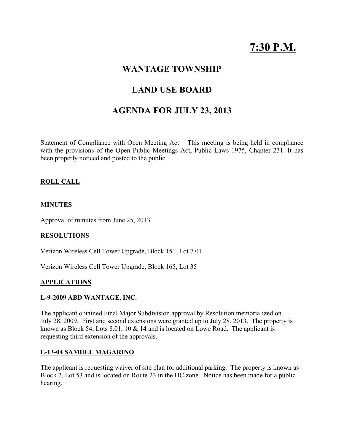# **7:30 P.M.**

# **WANTAGE TOWNSHIP**

# **LAND USE BOARD**

# **AGENDA FOR JULY 23, 2013**

Statement of Compliance with Open Meeting Act – This meeting is being held in compliance with the provisions of the Open Public Meetings Act, Public Laws 1975, Chapter 231. It has been properly noticed and posted to the public.

### **ROLL CALL**

#### **MINUTES**

Approval of minutes from June 25, 2013

#### **RESOLUTIONS**

Verizon Wireless Cell Tower Upgrade, Block 151, Lot 7.01

Verizon Wireless Cell Tower Upgrade, Block 165, Lot 35

#### **APPLICATIONS**

#### **L-9-2009 ABD WANTAGE, INC.**

The applicant obtained Final Major Subdivision approval by Resolution memorialized on July 28, 2009. First and second extensions were granted up to July 28, 2013. The property is known as Block 54, Lots 8.01, 10 & 14 and is located on Lowe Road. The applicant is requesting third extension of the approvals.

#### **L-13-04 SAMUEL MAGARINO**

The applicant is requesting waiver of site plan for additional parking. The property is known as Block 2, Lot 53 and is located on Route 23 in the HC zone. Notice has been made for a public hearing.